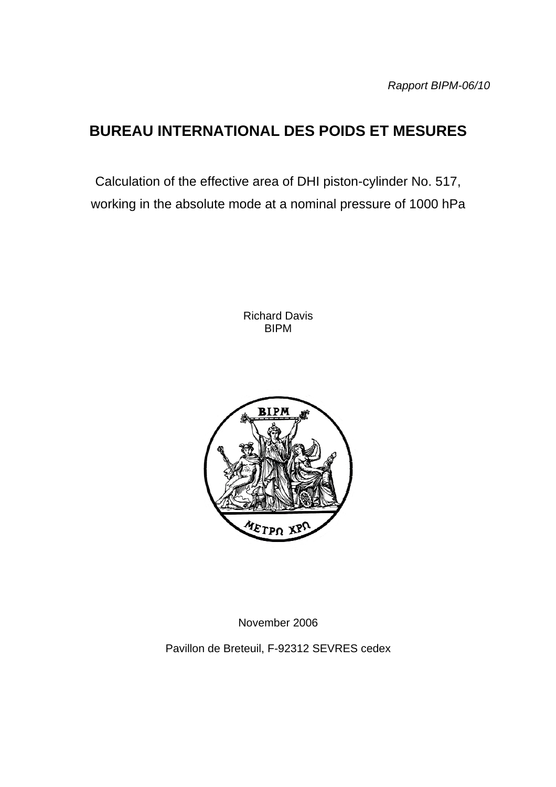# **BUREAU INTERNATIONAL DES POIDS ET MESURES**

Calculation of the effective area of DHI piston-cylinder No. 517, working in the absolute mode at a nominal pressure of 1000 hPa

> Richard Davis BIPM



November 2006

Pavillon de Breteuil, F-92312 SEVRES cedex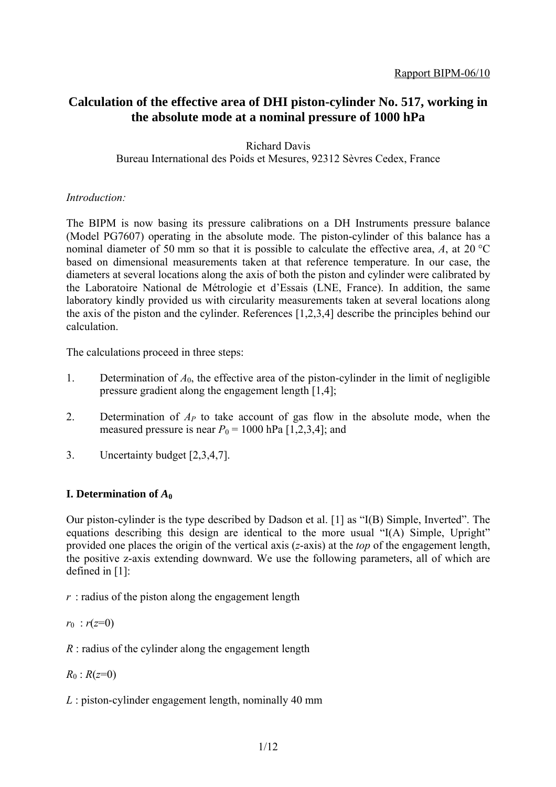## **Calculation of the effective area of DHI piston-cylinder No. 517, working in the absolute mode at a nominal pressure of 1000 hPa**

Richard Davis Bureau International des Poids et Mesures, 92312 Sèvres Cedex, France

## *Introduction:*

The BIPM is now basing its pressure calibrations on a DH Instruments pressure balance (Model PG7607) operating in the absolute mode. The piston-cylinder of this balance has a nominal diameter of 50 mm so that it is possible to calculate the effective area, *A*, at 20 °C based on dimensional measurements taken at that reference temperature. In our case, the diameters at several locations along the axis of both the piston and cylinder were calibrated by the Laboratoire National de Métrologie et d'Essais (LNE, France). In addition, the same laboratory kindly provided us with circularity measurements taken at several locations along the axis of the piston and the cylinder. References [1,2,3,4] describe the principles behind our calculation.

The calculations proceed in three steps:

- 1. Determination of  $A_0$ , the effective area of the piston-cylinder in the limit of negligible pressure gradient along the engagement length [1,4];
- 2. Determination of *AP* to take account of gas flow in the absolute mode, when the measured pressure is near  $P_0 = 1000$  hPa  $[1,2,3,4]$ ; and
- 3. Uncertainty budget [2,3,4,7].

## **I. Determination of**  $A_0$

Our piston-cylinder is the type described by Dadson et al. [1] as "I(B) Simple, Inverted". The equations describing this design are identical to the more usual "I(A) Simple, Upright" provided one places the origin of the vertical axis (*z*-axis) at the *top* of the engagement length, the positive z-axis extending downward. We use the following parameters, all of which are defined in [1]:

*r* : radius of the piston along the engagement length

 $r_0$  :  $r(z=0)$ 

*R* : radius of the cylinder along the engagement length

 $R_0$  :  $R(z=0)$ 

*L* : piston-cylinder engagement length, nominally 40 mm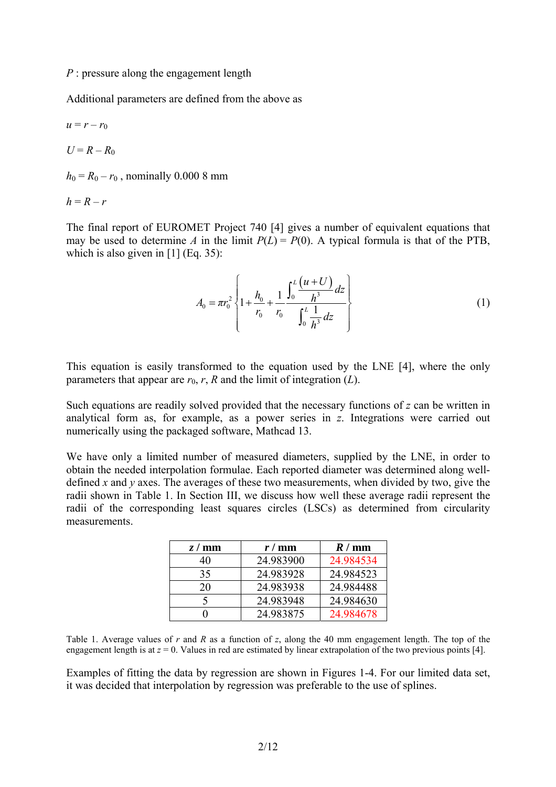*P* : pressure along the engagement length

Additional parameters are defined from the above as

$$
u = r - r_0
$$
  

$$
U = R - R_0
$$

 $h_0 = R_0 - r_0$ , nominally 0.000 8 mm

$$
h = R - r
$$

The final report of EUROMET Project 740 [4] gives a number of equivalent equations that may be used to determine *A* in the limit  $P(L) = P(0)$ . A typical formula is that of the PTB, which is also given in  $[1]$  (Eq. 35):

$$
A_0 = \pi r_0^2 \left\{ 1 + \frac{h_0}{r_0} + \frac{1}{r_0} \frac{\int_0^L \frac{(u+U)}{h^3} dz}{\int_0^L \frac{1}{h^3} dz} \right\}
$$
(1)

This equation is easily transformed to the equation used by the LNE [4], where the only parameters that appear are  $r_0$ ,  $r$ ,  $R$  and the limit of integration  $(L)$ .

Such equations are readily solved provided that the necessary functions of *z* can be written in analytical form as, for example, as a power series in *z*. Integrations were carried out numerically using the packaged software, Mathcad 13.

We have only a limited number of measured diameters, supplied by the LNE, in order to obtain the needed interpolation formulae. Each reported diameter was determined along welldefined *x* and *y* axes. The averages of these two measurements, when divided by two, give the radii shown in Table 1. In Section III, we discuss how well these average radii represent the radii of the corresponding least squares circles (LSCs) as determined from circularity measurements.

| z/mm | $r / \text{mm}$ | R/mm      |
|------|-----------------|-----------|
| 40   | 24.983900       | 24.984534 |
| 35   | 24.983928       | 24.984523 |
| 20   | 24.983938       | 24.984488 |
|      | 24.983948       | 24.984630 |
|      | 24.983875       | 24.984678 |

Table 1. Average values of *r* and *R* as a function of *z*, along the 40 mm engagement length. The top of the engagement length is at  $z = 0$ . Values in red are estimated by linear extrapolation of the two previous points [4].

Examples of fitting the data by regression are shown in Figures 1-4. For our limited data set, it was decided that interpolation by regression was preferable to the use of splines.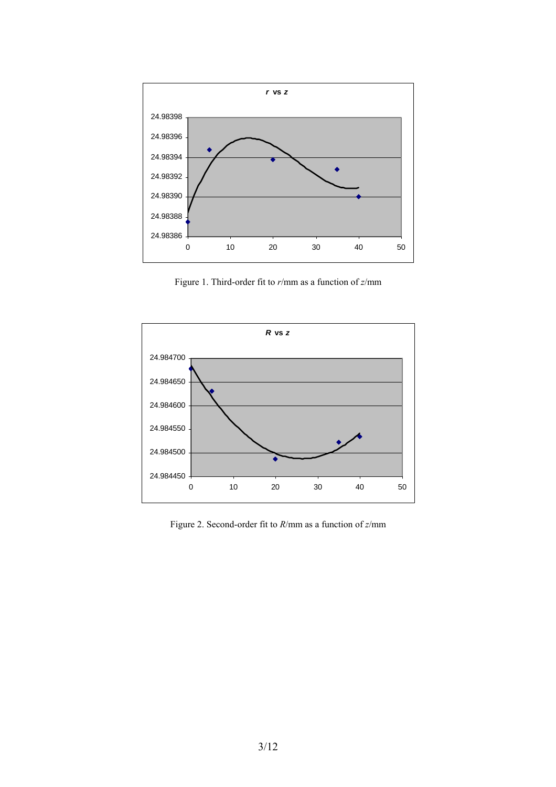

Figure 1. Third-order fit to *r*/mm as a function of *z*/mm



Figure 2. Second-order fit to *R*/mm as a function of *z*/mm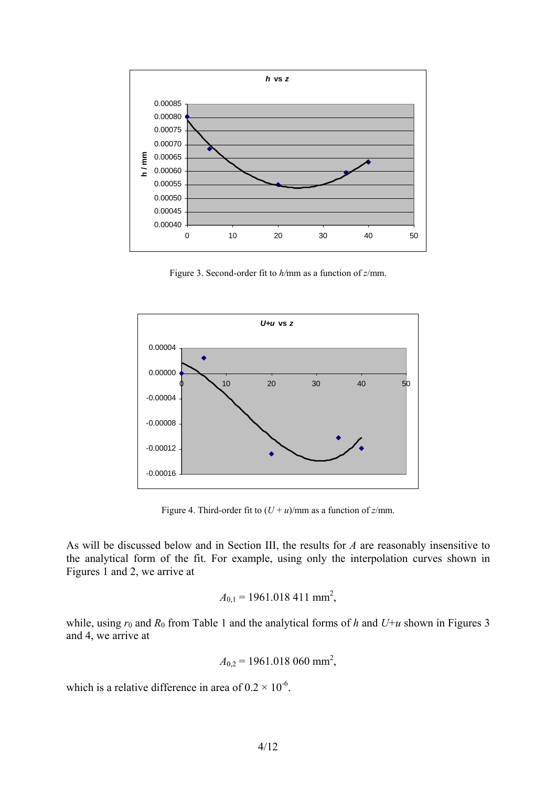

Figure 3. Second-order fit to *h/*mm as a function of *z*/mm.



Figure 4. Third-order fit to  $(U + u)/$ mm as a function of *z*/mm.

As will be discussed below and in Section III, the results for *A* are reasonably insensitive to the analytical form of the fit. For example, using only the interpolation curves shown in Figures 1 and 2, we arrive at

$$
A_{0,1} = 1961.018\ 411\ \mathrm{mm}^2
$$

while, using  $r_0$  and  $R_0$  from Table 1 and the analytical forms of *h* and  $U+u$  shown in Figures 3 and 4, we arrive at

$$
A_{0,2} = 1961.018\ 060\ \mathrm{mm}^2
$$

which is a relative difference in area of  $0.2 \times 10^{-6}$ .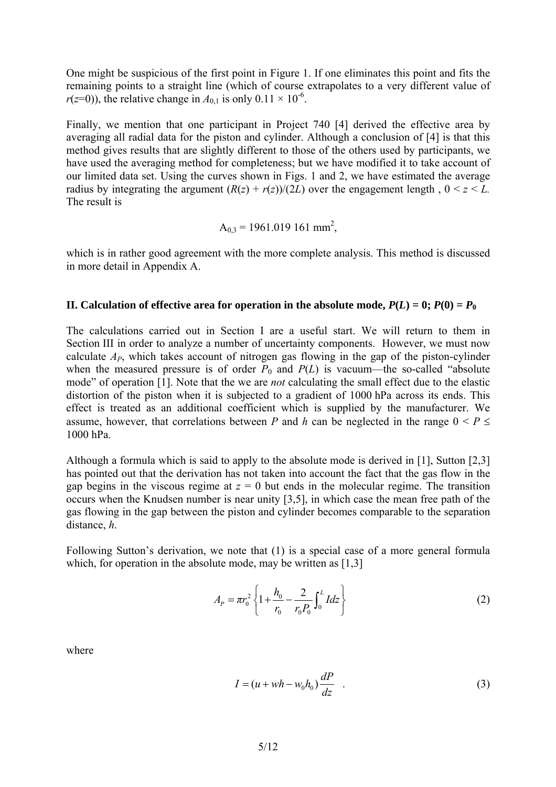One might be suspicious of the first point in Figure 1. If one eliminates this point and fits the remaining points to a straight line (which of course extrapolates to a very different value of  $r(z=0)$ , the relative change in  $A_{0,1}$  is only  $0.11 \times 10^{-6}$ .

Finally, we mention that one participant in Project 740 [4] derived the effective area by averaging all radial data for the piston and cylinder. Although a conclusion of [4] is that this method gives results that are slightly different to those of the others used by participants, we have used the averaging method for completeness; but we have modified it to take account of our limited data set. Using the curves shown in Figs. 1 and 2, we have estimated the average radius by integrating the argument  $(R(z) + r(z))/(2L)$  over the engagement length,  $0 \le z \le L$ . The result is

$$
A_{0,3} = 1961.019 161 mm^2,
$$

which is in rather good agreement with the more complete analysis. This method is discussed in more detail in Appendix A.

#### **II.** Calculation of effective area for operation in the absolute mode,  $P(L) = 0$ ;  $P(0) = P_0$

The calculations carried out in Section I are a useful start. We will return to them in Section III in order to analyze a number of uncertainty components. However, we must now calculate *AP*, which takes account of nitrogen gas flowing in the gap of the piston-cylinder when the measured pressure is of order  $P_0$  and  $P(L)$  is vacuum—the so-called "absolute" mode" of operation [1]. Note that the we are *not* calculating the small effect due to the elastic distortion of the piston when it is subjected to a gradient of 1000 hPa across its ends. This effect is treated as an additional coefficient which is supplied by the manufacturer. We assume, however, that correlations between *P* and *h* can be neglected in the range  $0 \leq P \leq$ 1000 hPa.

Although a formula which is said to apply to the absolute mode is derived in [1], Sutton [2,3] has pointed out that the derivation has not taken into account the fact that the gas flow in the gap begins in the viscous regime at  $z = 0$  but ends in the molecular regime. The transition occurs when the Knudsen number is near unity [3,5], in which case the mean free path of the gas flowing in the gap between the piston and cylinder becomes comparable to the separation distance, *h*.

Following Sutton's derivation, we note that (1) is a special case of a more general formula which, for operation in the absolute mode, may be written as [1,3]

$$
A_{P} = \pi r_0^2 \left\{ 1 + \frac{h_0}{r_0} - \frac{2}{r_0 P_0} \int_0^L I dz \right\}
$$
 (2)

where

$$
I = (u + wh - w_0 h_0) \frac{dP}{dz} \quad . \tag{3}
$$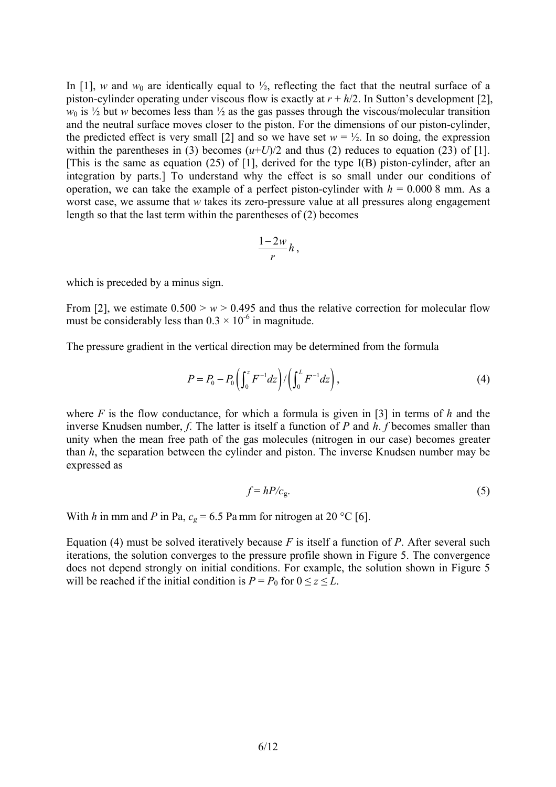In [1], *w* and  $w_0$  are identically equal to  $\frac{1}{2}$ , reflecting the fact that the neutral surface of a piston-cylinder operating under viscous flow is exactly at *r* + *h*/2. In Sutton's development [2],  $w_0$  is  $\frac{1}{2}$  but *w* becomes less than  $\frac{1}{2}$  as the gas passes through the viscous/molecular transition and the neutral surface moves closer to the piston. For the dimensions of our piston-cylinder, the predicted effect is very small [2] and so we have set  $w = \frac{1}{2}$ . In so doing, the expression within the parentheses in (3) becomes  $(u+U)/2$  and thus (2) reduces to equation (23) of [1]. [This is the same as equation (25) of [1], derived for the type I(B) piston-cylinder, after an integration by parts.] To understand why the effect is so small under our conditions of operation, we can take the example of a perfect piston-cylinder with  $h = 0.0008$  mm. As a worst case, we assume that *w* takes its zero-pressure value at all pressures along engagement length so that the last term within the parentheses of (2) becomes

$$
\frac{1-2w}{r}h,
$$

which is preceded by a minus sign.

From [2], we estimate  $0.500 > w > 0.495$  and thus the relative correction for molecular flow must be considerably less than  $0.3 \times 10^{-6}$  in magnitude.

The pressure gradient in the vertical direction may be determined from the formula

$$
P = P_0 - P_0 \left( \int_0^z F^{-1} dz \right) / \left( \int_0^L F^{-1} dz \right), \tag{4}
$$

where *F* is the flow conductance, for which a formula is given in [3] in terms of *h* and the inverse Knudsen number, *f*. The latter is itself a function of *P* and *h*. *f* becomes smaller than unity when the mean free path of the gas molecules (nitrogen in our case) becomes greater than *h*, the separation between the cylinder and piston. The inverse Knudsen number may be expressed as

$$
f = hP/c_{g}.\tag{5}
$$

With *h* in mm and *P* in Pa,  $c_g = 6.5$  Pa mm for nitrogen at 20 °C [6].

Equation (4) must be solved iteratively because *F* is itself a function of *P*. After several such iterations, the solution converges to the pressure profile shown in Figure 5. The convergence does not depend strongly on initial conditions. For example, the solution shown in Figure 5 will be reached if the initial condition is  $P = P_0$  for  $0 \le z \le L$ .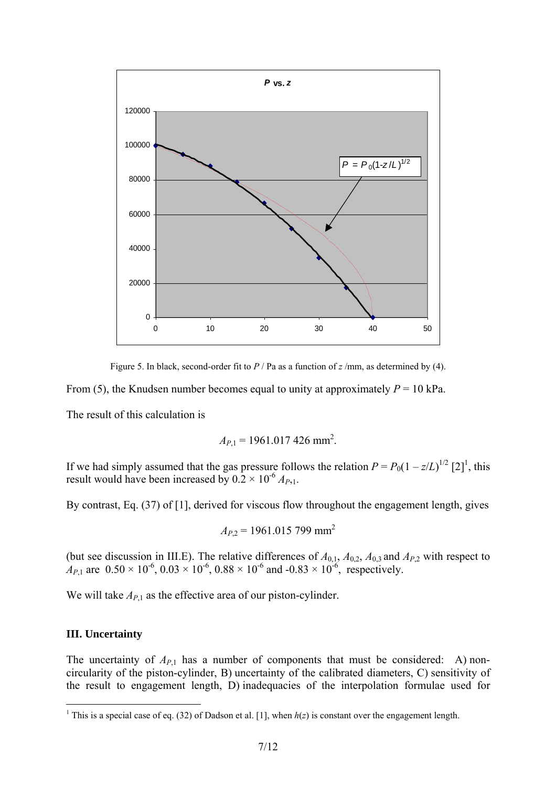

Figure 5. In black, second-order fit to *P* / Pa as a function of *z* /mm, as determined by (4).

From (5), the Knudsen number becomes equal to unity at approximately  $P = 10$  kPa.

The result of this calculation is

$$
A_{P,1} = 1961.017\ 426\ \mathrm{mm}^2.
$$

If we had simply assumed that the gas pressure follows the relation  $P = P_0(1 - z/L)^{1/2}$  [2]<sup>1</sup>, this result would have been increased by  $0.2 \times 10^{-6} A_{P,1}$ .

By contrast, Eq. (37) of [1], derived for viscous flow throughout the engagement length, gives

$$
A_{P,2} = 1961.015\ 799\ \text{mm}^2
$$

(but see discussion in III.E). The relative differences of  $A_{0,1}$ ,  $A_{0,2}$ ,  $A_{0,3}$  and  $A_{P,2}$  with respect to  $A_{P,1}$  are  $0.50 \times 10^{-6}$ ,  $0.03 \times 10^{-6}$ ,  $0.88 \times 10^{-6}$  and  $-0.83 \times 10^{-6}$ , respectively.

We will take  $A_{P,1}$  as the effective area of our piston-cylinder.

#### **III. Uncertainty**

The uncertainty of  $A_{P,1}$  has a number of components that must be considered: A) noncircularity of the piston-cylinder, B) uncertainty of the calibrated diameters, C) sensitivity of the result to engagement length, D) inadequacies of the interpolation formulae used for

<sup>&</sup>lt;sup>1</sup> This is a special case of eq. (32) of Dadson et al. [1], when  $h(z)$  is constant over the engagement length.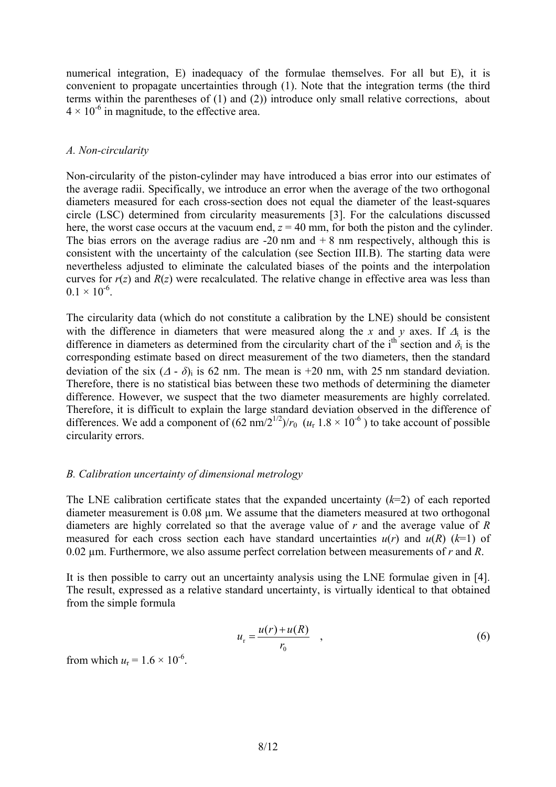numerical integration, E) inadequacy of the formulae themselves. For all but E), it is convenient to propagate uncertainties through (1). Note that the integration terms (the third terms within the parentheses of (1) and (2)) introduce only small relative corrections, about  $4 \times 10^{-6}$  in magnitude, to the effective area.

#### *A. Non-circularity*

Non-circularity of the piston-cylinder may have introduced a bias error into our estimates of the average radii. Specifically, we introduce an error when the average of the two orthogonal diameters measured for each cross-section does not equal the diameter of the least-squares circle (LSC) determined from circularity measurements [3]. For the calculations discussed here, the worst case occurs at the vacuum end,  $z = 40$  mm, for both the piston and the cylinder. The bias errors on the average radius are  $-20$  nm and  $+ 8$  nm respectively, although this is consistent with the uncertainty of the calculation (see Section III.B). The starting data were nevertheless adjusted to eliminate the calculated biases of the points and the interpolation curves for  $r(z)$  and  $R(z)$  were recalculated. The relative change in effective area was less than  $0.1 \times 10^{-6}$ .

The circularity data (which do not constitute a calibration by the LNE) should be consistent with the difference in diameters that were measured along the *x* and *y* axes. If  $\Delta_i$  is the difference in diameters as determined from the circularity chart of the i<sup>th</sup> section and  $\delta_i$  is the corresponding estimate based on direct measurement of the two diameters, then the standard deviation of the six  $(\Delta - \delta)$ <sub>i</sub> is 62 nm. The mean is +20 nm, with 25 nm standard deviation. Therefore, there is no statistical bias between these two methods of determining the diameter difference. However, we suspect that the two diameter measurements are highly correlated. Therefore, it is difficult to explain the large standard deviation observed in the difference of differences. We add a component of  $(62 \text{ nm}/2^{1/2})/r_0$   $(u_r 1.8 \times 10^{-6})$  to take account of possible circularity errors.

#### *B. Calibration uncertainty of dimensional metrology*

The LNE calibration certificate states that the expanded uncertainty (*k*=2) of each reported diameter measurement is 0.08 µm. We assume that the diameters measured at two orthogonal diameters are highly correlated so that the average value of *r* and the average value of *R* measured for each cross section each have standard uncertainties  $u(r)$  and  $u(R)$  ( $k=1$ ) of 0.02 µm. Furthermore, we also assume perfect correlation between measurements of *r* and *R*.

It is then possible to carry out an uncertainty analysis using the LNE formulae given in [4]. The result, expressed as a relative standard uncertainty, is virtually identical to that obtained from the simple formula

$$
u_{\rm r} = \frac{u(r) + u(R)}{r_0} \quad , \tag{6}
$$

from which  $u_r = 1.6 \times 10^{-6}$ .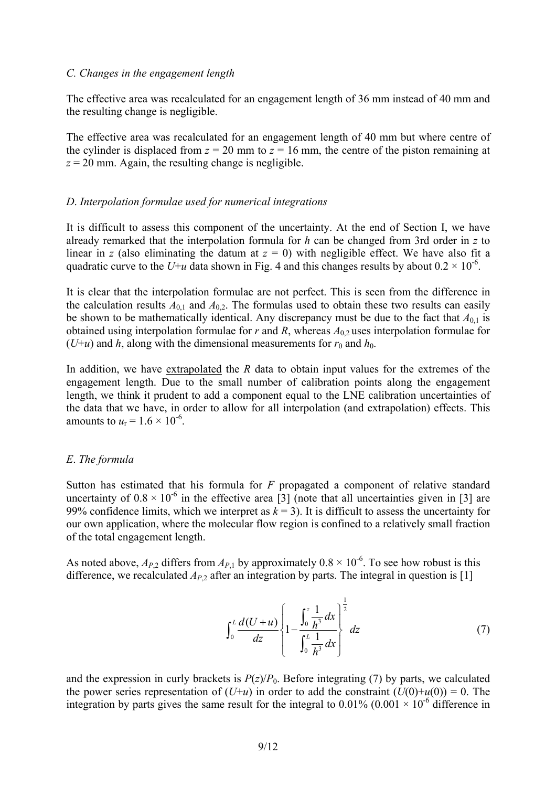#### *C. Changes in the engagement length*

The effective area was recalculated for an engagement length of 36 mm instead of 40 mm and the resulting change is negligible.

The effective area was recalculated for an engagement length of 40 mm but where centre of the cylinder is displaced from  $z = 20$  mm to  $z = 16$  mm, the centre of the piston remaining at  $z = 20$  mm. Again, the resulting change is negligible.

#### *D*. *Interpolation formulae used for numerical integrations*

It is difficult to assess this component of the uncertainty. At the end of Section I, we have already remarked that the interpolation formula for *h* can be changed from 3rd order in *z* to linear in *z* (also eliminating the datum at  $z = 0$ ) with negligible effect. We have also fit a quadratic curve to the *U+u* data shown in Fig. 4 and this changes results by about  $0.2 \times 10^{-6}$ .

It is clear that the interpolation formulae are not perfect. This is seen from the difference in the calculation results  $A_{0,1}$  and  $A_{0,2}$ . The formulas used to obtain these two results can easily be shown to be mathematically identical. Any discrepancy must be due to the fact that  $A_{0,1}$  is obtained using interpolation formulae for  $r$  and  $R$ , whereas  $A_{0,2}$  uses interpolation formulae for ( $U+u$ ) and  $h$ , along with the dimensional measurements for  $r_0$  and  $h_0$ .

In addition, we have extrapolated the *R* data to obtain input values for the extremes of the engagement length. Due to the small number of calibration points along the engagement length, we think it prudent to add a component equal to the LNE calibration uncertainties of the data that we have, in order to allow for all interpolation (and extrapolation) effects. This amounts to  $u_r = 1.6 \times 10^{-6}$ .

#### *E*. *The formula*

Sutton has estimated that his formula for *F* propagated a component of relative standard uncertainty of  $0.8 \times 10^{-6}$  in the effective area [3] (note that all uncertainties given in [3] are 99% confidence limits, which we interpret as  $k = 3$ ). It is difficult to assess the uncertainty for our own application, where the molecular flow region is confined to a relatively small fraction of the total engagement length.

As noted above,  $A_{P,2}$  differs from  $A_{P,1}$  by approximately  $0.8 \times 10^{-6}$ . To see how robust is this difference, we recalculated  $A_{P,2}$  after an integration by parts. The integral in question is [1]

$$
\int_0^L \frac{d(U+u)}{dz} \left\{ 1 - \frac{\int_0^z \frac{1}{h^3} dx}{\int_0^L \frac{1}{h^3} dx} \right\}^{\frac{1}{2}} dz \tag{7}
$$

and the expression in curly brackets is  $P(z)/P_0$ . Before integrating (7) by parts, we calculated the power series representation of  $(U+u)$  in order to add the constraint  $(U(0)+u(0)) = 0$ . The integration by parts gives the same result for the integral to  $0.01\%$  ( $0.001 \times 10^{-6}$  difference in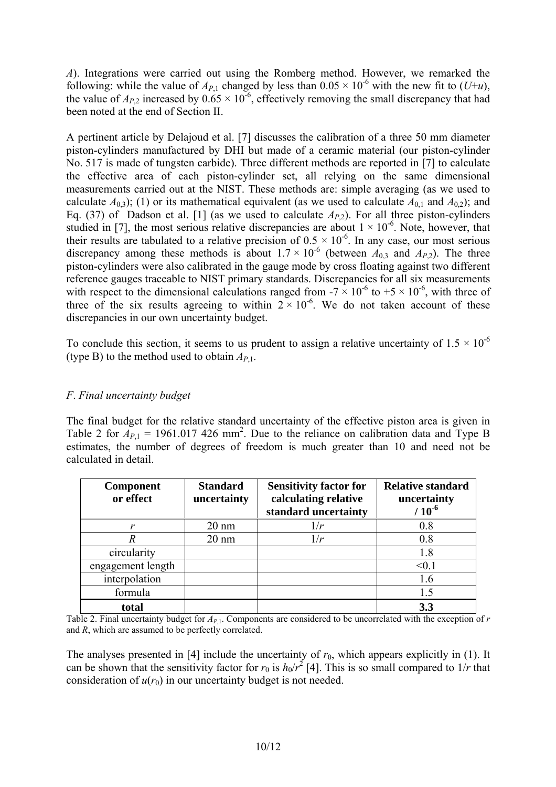*A*). Integrations were carried out using the Romberg method. However, we remarked the following: while the value of  $A_{P,1}$  changed by less than  $0.05 \times 10^{-6}$  with the new fit to  $(U+u)$ , the value of  $A_{P,2}$  increased by  $0.65 \times 10^{-6}$ , effectively removing the small discrepancy that had been noted at the end of Section II.

A pertinent article by Delajoud et al. [7] discusses the calibration of a three 50 mm diameter piston-cylinders manufactured by DHI but made of a ceramic material (our piston-cylinder No. 517 is made of tungsten carbide). Three different methods are reported in [7] to calculate the effective area of each piston-cylinder set, all relying on the same dimensional measurements carried out at the NIST. These methods are: simple averaging (as we used to calculate  $A_{0,3}$ ); (1) or its mathematical equivalent (as we used to calculate  $A_{0,1}$  and  $A_{0,2}$ ); and Eq. (37) of Dadson et al. [1] (as we used to calculate  $A_{P,2}$ ). For all three piston-cylinders studied in [7], the most serious relative discrepancies are about  $1 \times 10^{-6}$ . Note, however, that their results are tabulated to a relative precision of  $0.5 \times 10^{-6}$ . In any case, our most serious discrepancy among these methods is about  $1.7 \times 10^{-6}$  (between  $A_{0,3}$  and  $A_{P,2}$ ). The three piston-cylinders were also calibrated in the gauge mode by cross floating against two different reference gauges traceable to NIST primary standards. Discrepancies for all six measurements with respect to the dimensional calculations ranged from  $-7 \times 10^{-6}$  to  $+5 \times 10^{-6}$ , with three of three of the six results agreeing to within  $2 \times 10^{-6}$ . We do not taken account of these discrepancies in our own uncertainty budget.

To conclude this section, it seems to us prudent to assign a relative uncertainty of  $1.5 \times 10^{-6}$ (type B) to the method used to obtain  $A_{P,1}$ .

## *F*. *Final uncertainty budget*

The final budget for the relative standard uncertainty of the effective piston area is given in Table 2 for  $A_{P,1}$  = 1961.017 426 mm<sup>2</sup>. Due to the reliance on calibration data and Type B estimates, the number of degrees of freedom is much greater than 10 and need not be calculated in detail.

| <b>Component</b><br>or effect | <b>Standard</b><br>uncertainty | <b>Sensitivity factor for</b><br>calculating relative<br>standard uncertainty | <b>Relative standard</b><br>uncertainty<br>$10^{-6}$ |
|-------------------------------|--------------------------------|-------------------------------------------------------------------------------|------------------------------------------------------|
| $\boldsymbol{\nu}$            | $20 \text{ nm}$                | 1/r                                                                           | 0.8                                                  |
|                               | $20 \text{ nm}$                | 1/r                                                                           | 0.8                                                  |
| circularity                   |                                |                                                                               | 1.8                                                  |
| engagement length             |                                |                                                                               | < 0.1                                                |
| interpolation                 |                                |                                                                               | 1.6                                                  |
| formula                       |                                |                                                                               | 1.5                                                  |
| total                         |                                |                                                                               | 3.3                                                  |

Table 2. Final uncertainty budget for  $A_{P,1}$ . Components are considered to be uncorrelated with the exception of  $r$ and *R*, which are assumed to be perfectly correlated.

The analyses presented in [4] include the uncertainty of  $r_0$ , which appears explicitly in (1). It can be shown that the sensitivity factor for  $r_0$  is  $h_0/r^2$  [4]. This is so small compared to  $1/r$  that consideration of  $u(r_0)$  in our uncertainty budget is not needed.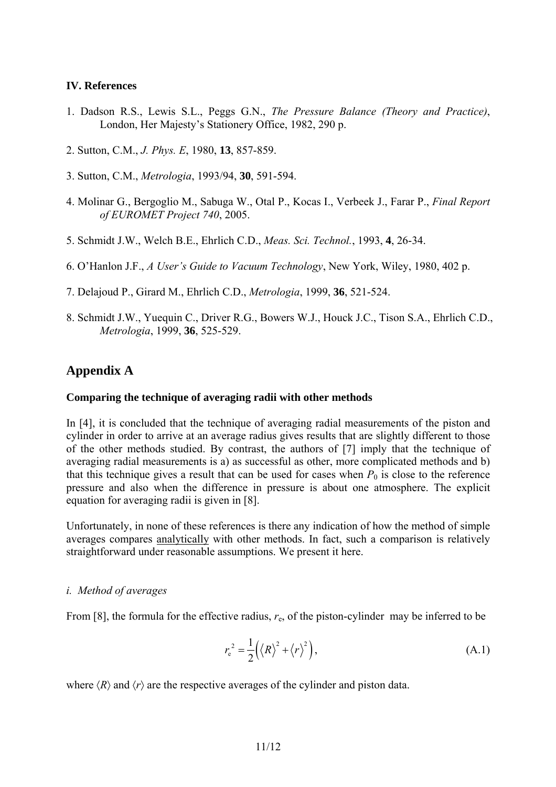#### **IV. References**

- 1. Dadson R.S., Lewis S.L., Peggs G.N., *The Pressure Balance (Theory and Practice)*, London, Her Majesty's Stationery Office, 1982, 290 p.
- 2. Sutton, C.M., *J. Phys. E*, 1980, **13**, 857-859.
- 3. Sutton, C.M., *Metrologia*, 1993/94, **30**, 591-594.
- 4. Molinar G., Bergoglio M., Sabuga W., Otal P., Kocas I., Verbeek J., Farar P., *Final Report of EUROMET Project 740*, 2005.
- 5. Schmidt J.W., Welch B.E., Ehrlich C.D., *Meas. Sci. Technol.*, 1993, **4**, 26-34.
- 6. O'Hanlon J.F., *A User's Guide to Vacuum Technology*, New York, Wiley, 1980, 402 p.
- 7. Delajoud P., Girard M., Ehrlich C.D., *Metrologia*, 1999, **36**, 521-524.
- 8. Schmidt J.W., Yuequin C., Driver R.G., Bowers W.J., Houck J.C., Tison S.A., Ehrlich C.D., *Metrologia*, 1999, **36**, 525-529.

## **Appendix A**

#### **Comparing the technique of averaging radii with other methods**

In [4], it is concluded that the technique of averaging radial measurements of the piston and cylinder in order to arrive at an average radius gives results that are slightly different to those of the other methods studied. By contrast, the authors of [7] imply that the technique of averaging radial measurements is a) as successful as other, more complicated methods and b) that this technique gives a result that can be used for cases when  $P_0$  is close to the reference pressure and also when the difference in pressure is about one atmosphere. The explicit equation for averaging radii is given in [8].

Unfortunately, in none of these references is there any indication of how the method of simple averages compares analytically with other methods. In fact, such a comparison is relatively straightforward under reasonable assumptions. We present it here.

#### *i. Method of averages*

From [8], the formula for the effective radius,  $r_e$ , of the piston-cylinder may be inferred to be

$$
r_{e}^{2} = \frac{1}{2} (\langle R \rangle^{2} + \langle r \rangle^{2}), \tag{A.1}
$$

where  $\langle R \rangle$  and  $\langle r \rangle$  are the respective averages of the cylinder and piston data.